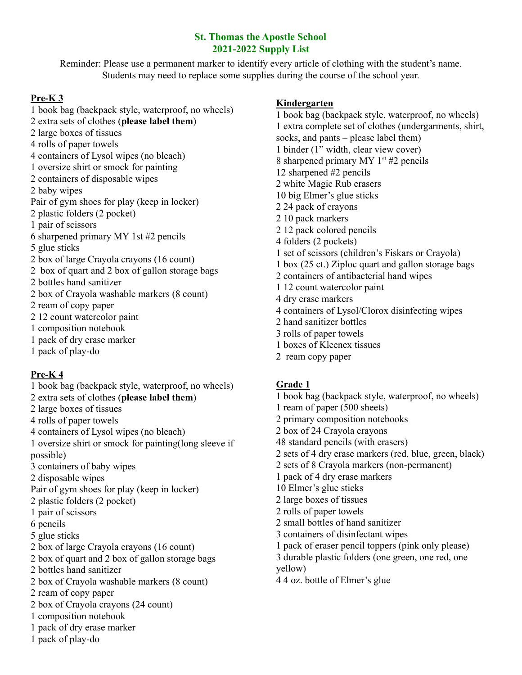## **St. Thomas the Apostle School 2021-2022 Supply List**

Reminder: Please use a permanent marker to identify every article of clothing with the student's name. Students may need to replace some supplies during the course of the school year.

# **Pre-K 3**

 book bag (backpack style, waterproof, no wheels) extra sets of clothes (**please label them**) large boxes of tissues rolls of paper towels containers of Lysol wipes (no bleach) oversize shirt or smock for painting containers of disposable wipes baby wipes Pair of gym shoes for play (keep in locker) plastic folders (2 pocket) pair of scissors sharpened primary MY 1st #2 pencils glue sticks box of large Crayola crayons (16 count) box of quart and 2 box of gallon storage bags bottles hand sanitizer box of Crayola washable markers (8 count) ream of copy paper 12 count watercolor paint composition notebook pack of dry erase marker pack of play-do

# **Pre-K 4**

 book bag (backpack style, waterproof, no wheels) extra sets of clothes (**please label them**) large boxes of tissues rolls of paper towels containers of Lysol wipes (no bleach) oversize shirt or smock for painting(long sleeve if possible) containers of baby wipes disposable wipes Pair of gym shoes for play (keep in locker) plastic folders (2 pocket) pair of scissors pencils glue sticks box of large Crayola crayons (16 count) box of quart and 2 box of gallon storage bags bottles hand sanitizer box of Crayola washable markers (8 count) ream of copy paper box of Crayola crayons (24 count) composition notebook pack of dry erase marker pack of play-do

# **Kindergarten**

 book bag (backpack style, waterproof, no wheels) extra complete set of clothes (undergarments, shirt, socks, and pants – please label them) binder (1" width, clear view cover) 8 sharpened primary MY 1<sup>st</sup> #2 pencils sharpened #2 pencils white Magic Rub erasers big Elmer's glue sticks 24 pack of crayons 10 pack markers 12 pack colored pencils folders (2 pockets) set of scissors (children's Fiskars or Crayola) box (25 ct.) Ziploc quart and gallon storage bags containers of antibacterial hand wipes 12 count watercolor paint dry erase markers containers of Lysol/Clorox disinfecting wipes hand sanitizer bottles rolls of paper towels boxes of Kleenex tissues

ream copy paper

# **Grade 1**

 book bag (backpack style, waterproof, no wheels) ream of paper (500 sheets) primary composition notebooks box of 24 Crayola crayons standard pencils (with erasers) sets of 4 dry erase markers (red, blue, green, black) sets of 8 Crayola markers (non-permanent) pack of 4 dry erase markers Elmer's glue sticks large boxes of tissues rolls of paper towels small bottles of hand sanitizer containers of disinfectant wipes pack of eraser pencil toppers (pink only please) durable plastic folders (one green, one red, one yellow) 4 oz. bottle of Elmer's glue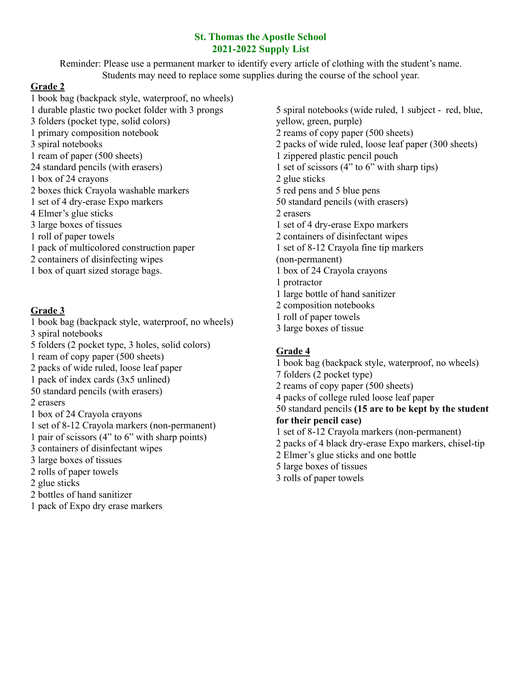## **St. Thomas the Apostle School 2021-2022 Supply List**

Reminder: Please use a permanent marker to identify every article of clothing with the student's name. Students may need to replace some supplies during the course of the school year.

- **Grade 2** book bag (backpack style, waterproof, no wheels) durable plastic two pocket folder with 3 prongs folders (pocket type, solid colors) primary composition notebook spiral notebooks ream of paper (500 sheets) standard pencils (with erasers) box of 24 crayons boxes thick Crayola washable markers set of 4 dry-erase Expo markers Elmer's glue sticks large boxes of tissues roll of paper towels pack of multicolored construction paper containers of disinfecting wipes
- box of quart sized storage bags.

### **Grade 3**

 book bag (backpack style, waterproof, no wheels) spiral notebooks folders (2 pocket type, 3 holes, solid colors) ream of copy paper (500 sheets) packs of wide ruled, loose leaf paper pack of index cards (3x5 unlined) standard pencils (with erasers) erasers box of 24 Crayola crayons set of 8-12 Crayola markers (non-permanent) pair of scissors (4" to 6" with sharp points) containers of disinfectant wipes large boxes of tissues rolls of paper towels glue sticks bottles of hand sanitizer pack of Expo dry erase markers

 spiral notebooks (wide ruled, 1 subject - red, blue, yellow, green, purple) reams of copy paper (500 sheets) packs of wide ruled, loose leaf paper (300 sheets) zippered plastic pencil pouch set of scissors (4" to 6" with sharp tips) glue sticks red pens and 5 blue pens standard pencils (with erasers) erasers set of 4 dry-erase Expo markers containers of disinfectant wipes set of 8-12 Crayola fine tip markers (non-permanent) box of 24 Crayola crayons protractor large bottle of hand sanitizer composition notebooks roll of paper towels large boxes of tissue

## **Grade 4**

 book bag (backpack style, waterproof, no wheels) folders (2 pocket type) reams of copy paper (500 sheets) packs of college ruled loose leaf paper standard pencils **(15 are to be kept by the student for their pencil case)** set of 8-12 Crayola markers (non-permanent) packs of 4 black dry-erase Expo markers, chisel-tip Elmer's glue sticks and one bottle large boxes of tissues rolls of paper towels